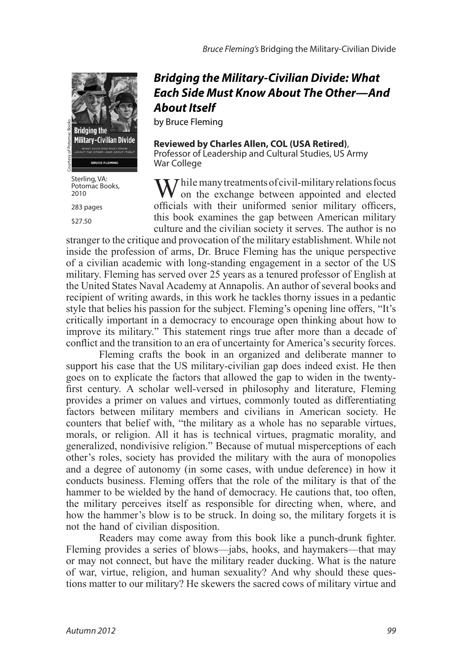

Potomac Books, 2010

283 pages

\$27.50

## *Bridging the Military-Civilian Divide: What Each Side Must Know About The Other—And About Itself*

by Bruce Fleming

**Reviewed by Charles Allen, COL (USA Retired)**, Professor of Leadership and Cultural Studies, US Army War College

 *hile many treatments of civil-military relations focus* on the exchange between appointed and elected officials with their uniformed senior military officers, this book examines the gap between American military culture and the civilian society it serves. The author is no

stranger to the critique and provocation of the military establishment. While not inside the profession of arms, Dr. Bruce Fleming has the unique perspective of a civilian academic with long-standing engagement in a sector of the US military. Fleming has served over 25 years as a tenured professor of English at the United States Naval Academy at Annapolis. An author of several books and recipient of writing awards, in this work he tackles thorny issues in a pedantic style that belies his passion for the subject. Fleming's opening line offers, "It's critically important in a democracy to encourage open thinking about how to improve its military." This statement rings true after more than a decade of conflict and the transition to an era of uncertainty for America's security forces.

Fleming crafts the book in an organized and deliberate manner to support his case that the US military-civilian gap does indeed exist. He then goes on to explicate the factors that allowed the gap to widen in the twentyfirst century. A scholar well-versed in philosophy and literature, Fleming provides a primer on values and virtues, commonly touted as differentiating factors between military members and civilians in American society. He counters that belief with, "the military as a whole has no separable virtues, morals, or religion. All it has is technical virtues, pragmatic morality, and generalized, nondivisive religion." Because of mutual misperceptions of each other's roles, society has provided the military with the aura of monopolies and a degree of autonomy (in some cases, with undue deference) in how it conducts business. Fleming offers that the role of the military is that of the hammer to be wielded by the hand of democracy. He cautions that, too often, the military perceives itself as responsible for directing when, where, and how the hammer's blow is to be struck. In doing so, the military forgets it is not the hand of civilian disposition. The total of the stead of the sacred of the sacred of the stead of the stead of the stead of the sacred courtes of the sacred courtesy of the sacred courtes of the sacred courtesy of the sacred courtesy of the sacred court

Readers may come away from this book like a punch-drunk fighter. Fleming provides a series of blows—jabs, hooks, and haymakers—that may or may not connect, but have the military reader ducking. What is the nature of war, virtue, religion, and human sexuality? And why should these ques